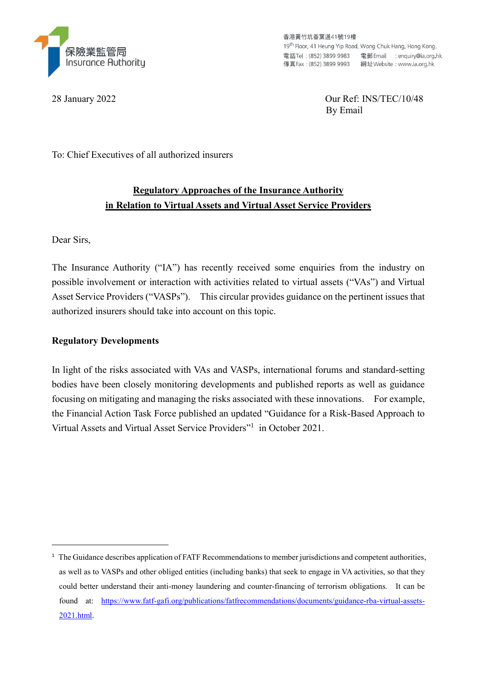

香港黃竹坑香葉道41號19樓 19<sup>th</sup> Floor, 41 Heung Yip Road, Wong Chuk Hang, Hong Kong, 

28 January 2022 Our Ref: INS/TEC/10/48 By Email

To: Chief Executives of all authorized insurers

# **Regulatory Approaches of the Insurance Authority in Relation to Virtual Assets and Virtual Asset Service Providers**

Dear Sirs,

-

The Insurance Authority ("IA") has recently received some enquiries from the industry on possible involvement or interaction with activities related to virtual assets ("VAs") and Virtual Asset Service Providers ("VASPs"). This circular provides guidance on the pertinent issues that authorized insurers should take into account on this topic.

### **Regulatory Developments**

In light of the risks associated with VAs and VASPs, international forums and standard-setting bodies have been closely monitoring developments and published reports as well as guidance focusing on mitigating and managing the risks associated with these innovations. For example, the Financial Action Task Force published an updated "Guidance for a Risk-Based Approach to Virtual Assets and Virtual Asset Service Providers"<sup>1</sup> in October 2021.

 $1$  The Guidance describes application of FATF Recommendations to member jurisdictions and competent authorities, as well as to VASPs and other obliged entities (including banks) that seek to engage in VA activities, so that they could better understand their anti-money laundering and counter-financing of terrorism obligations. It can be found at: [https://www.fatf-gafi.org/publications/fatfrecommendations/documents/guidance-rba-virtual-assets-](https://www.fatf-gafi.org/publications/fatfrecommendations/documents/guidance-rba-virtual-assets-2021.html)[2021.html](https://www.fatf-gafi.org/publications/fatfrecommendations/documents/guidance-rba-virtual-assets-2021.html).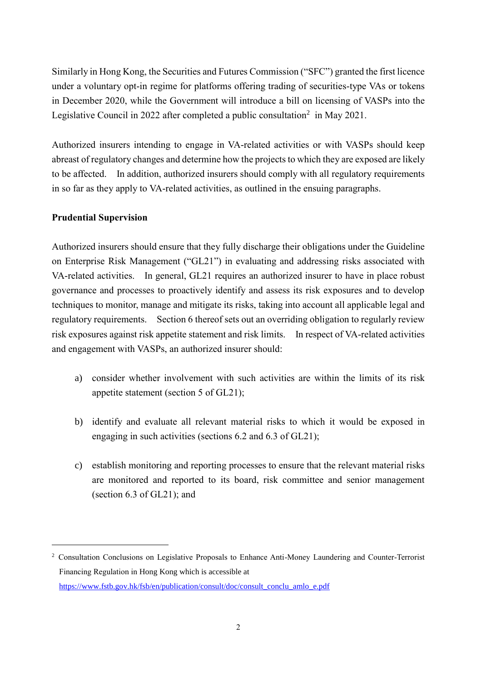Similarly in Hong Kong, the Securities and Futures Commission ("SFC") granted the first licence under a voluntary opt-in regime for platforms offering trading of securities-type VAs or tokens in December 2020, while the Government will introduce a bill on licensing of VASPs into the Legislative Council in 2022 after completed a public consultation<sup>2</sup> in May 2021.

Authorized insurers intending to engage in VA-related activities or with VASPs should keep abreast of regulatory changes and determine how the projects to which they are exposed are likely to be affected. In addition, authorized insurers should comply with all regulatory requirements in so far as they apply to VA-related activities, as outlined in the ensuing paragraphs.

# **Prudential Supervision**

-

Authorized insurers should ensure that they fully discharge their obligations under the Guideline on Enterprise Risk Management ("GL21") in evaluating and addressing risks associated with VA-related activities. In general, GL21 requires an authorized insurer to have in place robust governance and processes to proactively identify and assess its risk exposures and to develop techniques to monitor, manage and mitigate its risks, taking into account all applicable legal and regulatory requirements. Section 6 thereof sets out an overriding obligation to regularly review risk exposures against risk appetite statement and risk limits. In respect of VA-related activities and engagement with VASPs, an authorized insurer should:

- a) consider whether involvement with such activities are within the limits of its risk appetite statement (section 5 of GL21);
- b) identify and evaluate all relevant material risks to which it would be exposed in engaging in such activities (sections 6.2 and 6.3 of GL21);
- c) establish monitoring and reporting processes to ensure that the relevant material risks are monitored and reported to its board, risk committee and senior management (section 6.3 of GL21); and

<sup>&</sup>lt;sup>2</sup> Consultation Conclusions on Legislative Proposals to Enhance Anti-Money Laundering and Counter-Terrorist Financing Regulation in Hong Kong which is accessible at [https://www.fstb.gov.hk/fsb/en/publication/consult/doc/consult\\_conclu\\_amlo\\_e.pdf](https://www.fstb.gov.hk/fsb/en/publication/consult/doc/consult_conclu_amlo_e.pdf)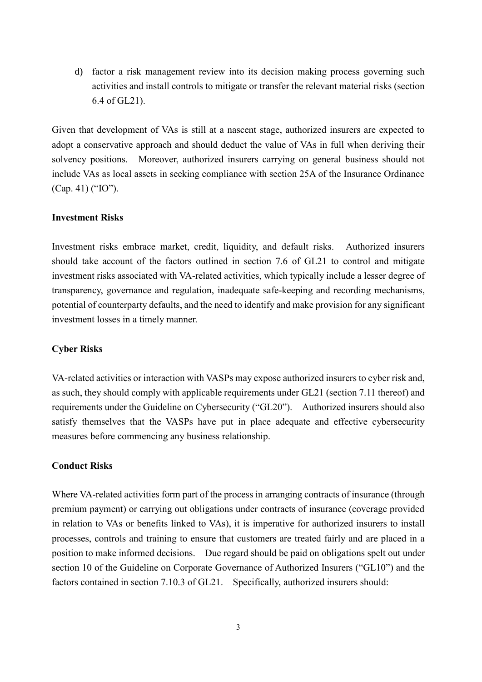d) factor a risk management review into its decision making process governing such activities and install controls to mitigate or transfer the relevant material risks (section 6.4 of GL21).

Given that development of VAs is still at a nascent stage, authorized insurers are expected to adopt a conservative approach and should deduct the value of VAs in full when deriving their solvency positions. Moreover, authorized insurers carrying on general business should not include VAs as local assets in seeking compliance with section 25A of the Insurance Ordinance (Cap. 41) ("IO").

#### **Investment Risks**

Investment risks embrace market, credit, liquidity, and default risks. Authorized insurers should take account of the factors outlined in section 7.6 of GL21 to control and mitigate investment risks associated with VA-related activities, which typically include a lesser degree of transparency, governance and regulation, inadequate safe-keeping and recording mechanisms, potential of counterparty defaults, and the need to identify and make provision for any significant investment losses in a timely manner.

#### **Cyber Risks**

VA-related activities or interaction with VASPs may expose authorized insurers to cyber risk and, as such, they should comply with applicable requirements under GL21 (section 7.11 thereof) and requirements under the Guideline on Cybersecurity ("GL20"). Authorized insurers should also satisfy themselves that the VASPs have put in place adequate and effective cybersecurity measures before commencing any business relationship.

#### **Conduct Risks**

Where VA-related activities form part of the process in arranging contracts of insurance (through premium payment) or carrying out obligations under contracts of insurance (coverage provided in relation to VAs or benefits linked to VAs), it is imperative for authorized insurers to install processes, controls and training to ensure that customers are treated fairly and are placed in a position to make informed decisions. Due regard should be paid on obligations spelt out under section 10 of the Guideline on Corporate Governance of Authorized Insurers ("GL10") and the factors contained in section 7.10.3 of GL21. Specifically, authorized insurers should: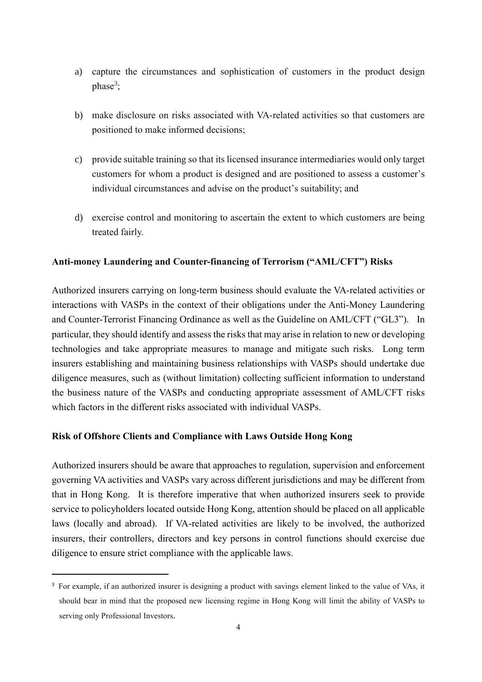- a) capture the circumstances and sophistication of customers in the product design  $phase<sup>3</sup>$ ;
- b) make disclosure on risks associated with VA-related activities so that customers are positioned to make informed decisions;
- c) provide suitable training so that its licensed insurance intermediaries would only target customers for whom a product is designed and are positioned to assess a customer's individual circumstances and advise on the product's suitability; and
- d) exercise control and monitoring to ascertain the extent to which customers are being treated fairly.

### **Anti-money Laundering and Counter-financing of Terrorism ("AML/CFT") Risks**

Authorized insurers carrying on long-term business should evaluate the VA-related activities or interactions with VASPs in the context of their obligations under the Anti-Money Laundering and Counter-Terrorist Financing Ordinance as well as the Guideline on AML/CFT ("GL3"). In particular, they should identify and assess the risks that may arise in relation to new or developing technologies and take appropriate measures to manage and mitigate such risks. Long term insurers establishing and maintaining business relationships with VASPs should undertake due diligence measures, such as (without limitation) collecting sufficient information to understand the business nature of the VASPs and conducting appropriate assessment of AML/CFT risks which factors in the different risks associated with individual VASPs.

# **Risk of Offshore Clients and Compliance with Laws Outside Hong Kong**

-

Authorized insurers should be aware that approaches to regulation, supervision and enforcement governing VA activities and VASPs vary across different jurisdictions and may be different from that in Hong Kong. It is therefore imperative that when authorized insurers seek to provide service to policyholders located outside Hong Kong, attention should be placed on all applicable laws (locally and abroad). If VA-related activities are likely to be involved, the authorized insurers, their controllers, directors and key persons in control functions should exercise due diligence to ensure strict compliance with the applicable laws.

<sup>&</sup>lt;sup>3</sup> For example, if an authorized insurer is designing a product with savings element linked to the value of VAs, it should bear in mind that the proposed new licensing regime in Hong Kong will limit the ability of VASPs to serving only Professional Investors.